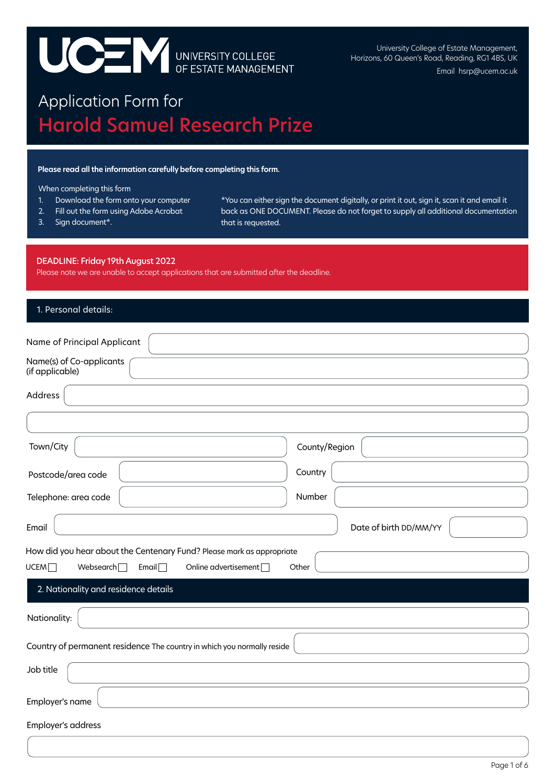# UCE V UNIVERSITY COLLEGE

University College of Estate Management, Horizons, 60 Queen's Road, Reading, RG1 4BS, UK Email hsrp@ucem.ac.uk

# Application Form for Estate Operator Harold Samuel Research Prize

#### **Please read all the information carefully before completing this form.**

#### When completing this form

- 1. Download the form onto your computer
- 2. Fill out the form using Adobe Acrobat
- 3. Sign document\*.

\*You can either sign the document digitally, or print it out, sign it, scan it and email it back as ONE DOCUMENT. Please do not forget to supply all additional documentation that is requested.

#### DEADLINE: Friday 19th August 2022

Please note we are unable to accept applications that are submitted after the deadline.

| 1. Personal details:                                                                                                     |                        |  |  |  |  |
|--------------------------------------------------------------------------------------------------------------------------|------------------------|--|--|--|--|
| Name of Principal Applicant                                                                                              |                        |  |  |  |  |
| Name(s) of Co-applicants<br>(if applicable)                                                                              |                        |  |  |  |  |
| Address                                                                                                                  |                        |  |  |  |  |
|                                                                                                                          |                        |  |  |  |  |
| Town/City                                                                                                                | County/Region          |  |  |  |  |
| Postcode/area code                                                                                                       | Country                |  |  |  |  |
| Telephone: area code                                                                                                     | Number                 |  |  |  |  |
| Email                                                                                                                    | Date of birth DD/MM/YY |  |  |  |  |
| How did you hear about the Centenary Fund? Please mark as appropriate                                                    |                        |  |  |  |  |
| UCEM <sup>[]</sup><br>Websearch<br>Email $\Box$<br>Online advertisement<br>Other<br>2. Nationality and residence details |                        |  |  |  |  |
| Nationality:                                                                                                             |                        |  |  |  |  |
| Country of permanent residence The country in which you normally reside                                                  |                        |  |  |  |  |
| Job title                                                                                                                |                        |  |  |  |  |
| Employer's name                                                                                                          |                        |  |  |  |  |
| Employer's address                                                                                                       |                        |  |  |  |  |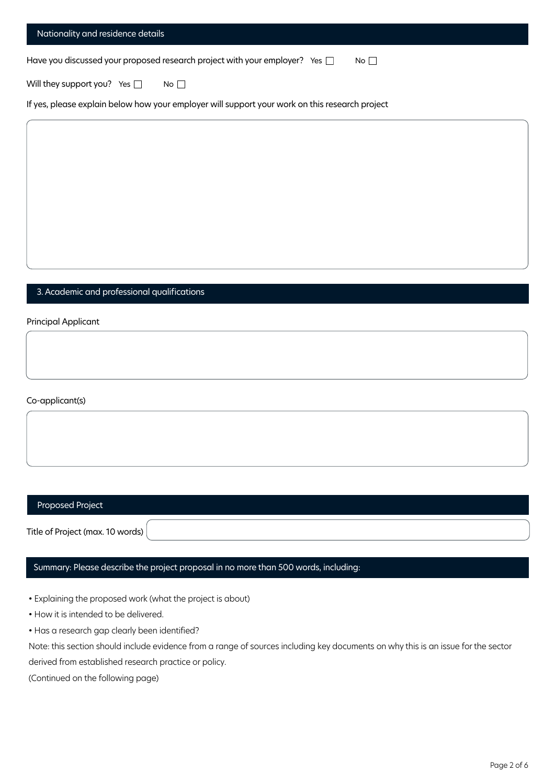| Nationality and residence details                                                |           |
|----------------------------------------------------------------------------------|-----------|
| Have you discussed your proposed research project with your employer? Yes $\Box$ | $No \Box$ |
| Will they support you? Yes $\Box$<br>$No$                                        |           |

If yes, please explain below how your employer will support your work on this research project

### 3. Academic and professional qualifications

Principal Applicant

Co-applicant(s)

#### Proposed Project

Title of Project (max. 10 words)

# Summary: Please describe the project proposal in no more than 500 words, including:

• Explaining the proposed work (what the project is about)

• How it is intended to be delivered.

• Has a research gap clearly been identified?

Note: this section should include evidence from a range of sources including key documents on why this is an issue forthe sector derived from established research practice or policy.

(Continued on the following page)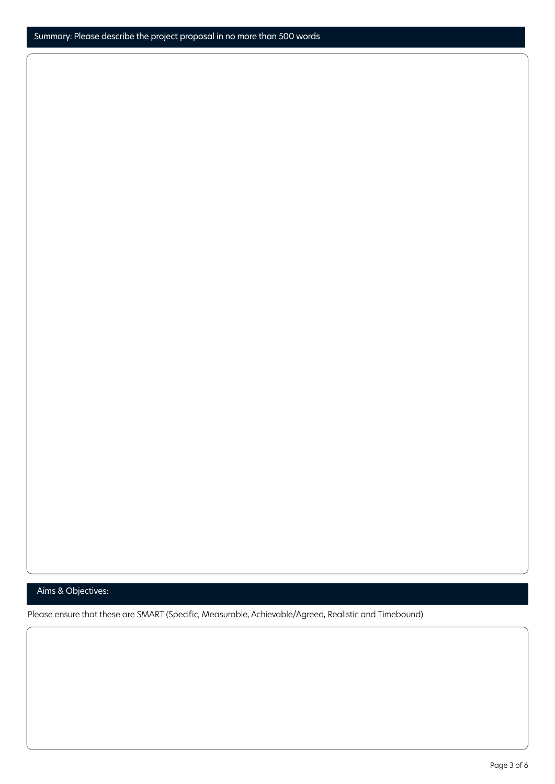# Aims & Objectives:

Please ensure that these are SMART (Specific, Measurable, Achievable/Agreed, Realistic and Timebound)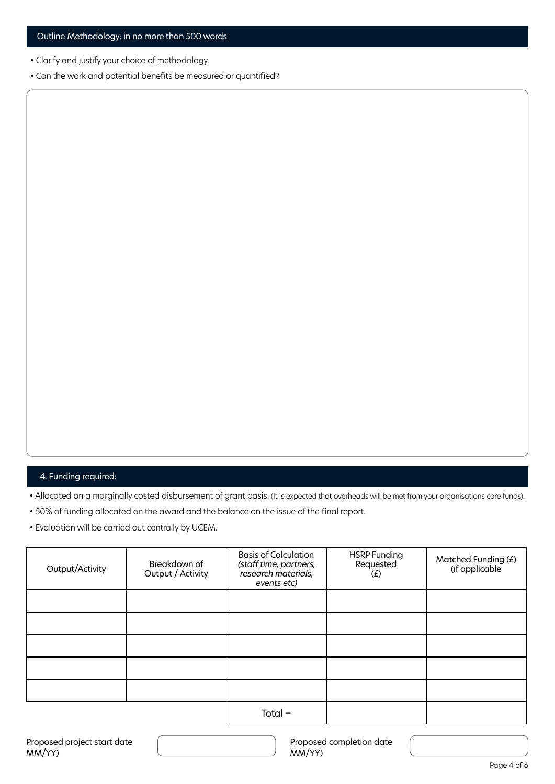- Clarify and justify your choice of methodology
- Can the work and potential benefits be measured or quantified?

# 4. Funding required:

• Allocated on a marginally costed disbursement of grant basis. (It is expected that overheads will be met from your organisations core funds).

- 50% of funding allocated on the award and the balance on the issue of the final report.
- Evaluation will be carried out centrally by UCEM.

| Output/Activity | Breakdown of<br>Output / Activity | <b>Basis of Calculation</b><br>(staff time, partners,<br>research materials,<br>events etc) | <b>HSRP</b> Funding<br>Requested<br>(f) | Matched Funding (£)<br>(if applicable) |
|-----------------|-----------------------------------|---------------------------------------------------------------------------------------------|-----------------------------------------|----------------------------------------|
|                 |                                   |                                                                                             |                                         |                                        |
|                 |                                   |                                                                                             |                                         |                                        |
|                 |                                   |                                                                                             |                                         |                                        |
|                 |                                   |                                                                                             |                                         |                                        |
|                 |                                   |                                                                                             |                                         |                                        |
|                 |                                   | $Total =$                                                                                   |                                         |                                        |

Proposed completion date MM/YY)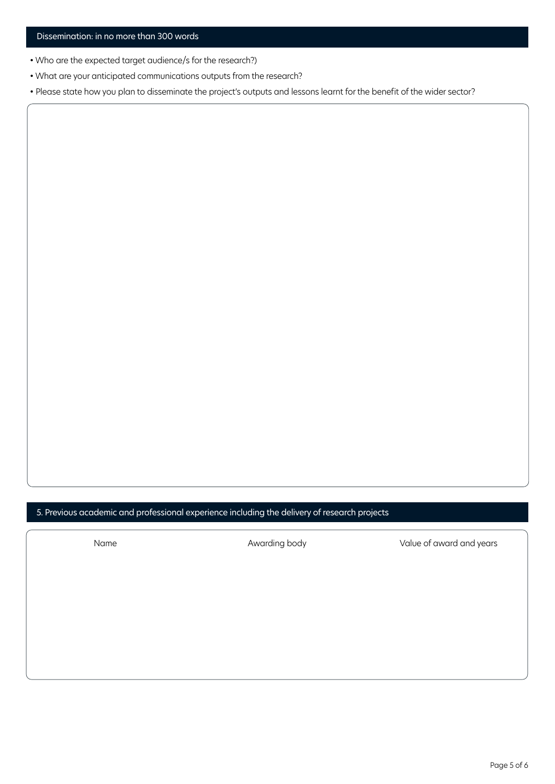- Who are the expected target audience/s for the research?)
- What are your anticipated communications outputs from the research?

• Please state how you plan to disseminate the project's outputs and lessons learnt for the benefit of the wider sector?

5. Previous academic and professional experience including the delivery of research projects

Name **Awarding body** Value of award and years